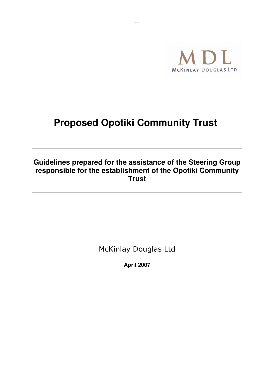

# **Proposed Opotiki Community Trust**

# Guidelines prepared for the assistance of the Steering Group responsible for the establishment of the Opotiki Community **Trust**

**McKinlay Douglas Ltd** 

**April 2007**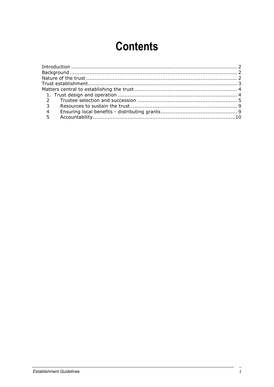# **Contents**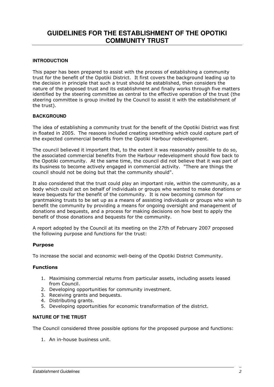# **GUIDELINES FOR THE ESTABLISHMENT OF THE OPOTIKI COMMUNITY TRUST**

# **INTRODUCTION**

This paper has been prepared to assist with the process of establishing a community trust for the benefit of the Opotiki District. It first covers the background leading up to the decision in principle that such a trust should be established, then considers the nature of the proposed trust and its establishment and finally works through five matters identified by the steering committee as central to the effective operation of the trust (the steering committee is group invited by the Council to assist it with the establishment of the trust).

## **BACKGROUND**

The idea of establishing a community trust for the benefit of the Opotiki District was first in floated in 2005. The reasons included creating something which could capture part of the expected commercial benefits from the Opotiki Harbour redevelopment.

The council believed it important that, to the extent it was reasonably possible to do so, the associated commercial benefits from the Harbour redevelopment should flow back to the Opotiki community. At the same time, the council did not believe that it was part of its business to become actively engaged in commercial activity. "There are things the council should not be doing but that the community should".

It also considered that the trust could play an important role, within the community, as a body which could act on behalf of individuals or groups who wanted to make donations or leave bequests for the benefit of the community. It is now becoming common for grantmaking trusts to be set up as a means of assisting individuals or groups who wish to benefit the community by providing a means for ongoing oversight and management of donations and bequests, and a process for making decisions on how best to apply the benefit of those donations and bequests for the community.

A report adopted by the Council at its meeting on the 27th of February 2007 proposed the following purpose and functions for the trust:

## Purpose

To increase the social and economic well-being of the Opotiki District Community.

## Functions

- 1. Maximising commercial returns from particular assets, including assets leased from Council.
- 2. Developing opportunities for community investment.
- 3. Receiving grants and bequests.
- 4. Distributing grants.
- 5. Developing opportunities for economic transformation of the district.

## **NATURE OF THE TRUST**

The Council considered three possible options for the proposed purpose and functions:

1. An in-house business unit.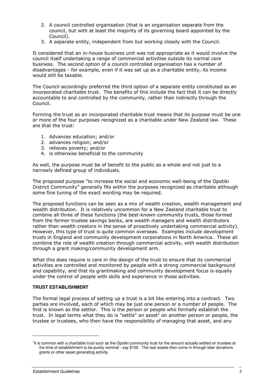- 2. A council controlled organisation (that is an organisation separate from the council, but with at least the majority of its governing board appointed by the Council).
- 3. A separate entity, independent from but working closely with the Council.

It considered that an in-house business unit was not appropriate as it would involve the council itself undertaking a range of commercial activities outside its normal core business. The second option of a council controlled organisation has a number of disadvantages - for example, even if it was set up as a charitable entity, its income would still be taxable.

The Council accordingly preferred the third option of a separate entity constituted as an incorporated charitable trust. The benefits of this include the fact that it can be directly accountable to and controlled by the community, rather than indirectly through the Council.

Forming the trust as an incorporated charitable trust means that its purpose must be one or more of the four purposes recognized as a charitable under New Zealand law. These are that the trust:

- 1. Advances education; and/or
- 2. advances religion; and/or
- 3. relieves poverty; and/or
- 4. is otherwise beneficial to the community

As well, the purpose must be of benefit to the public as a whole and not just to a narrowly defined group of individuals.

The proposed purpose "to increase the social and economic well-being of the Opotiki District Community" generally fits within the purposes recognized as charitable although some fine tuning of the exact wording may be required.

The proposed functions can be seen as a mix of wealth creation, wealth management and wealth distribution. It is relatively uncommon for a New Zealand charitable trust to combine all three of these functions (the best-known community trusts, those formed from the former trustee savings banks, are wealth managers and wealth distributors rather than wealth creators in the sense of proactively undertaking commercial activity). However, this type of trust is quite common overseas. Examples include development trusts in England and community development corporations in North America. These all combine the role of wealth creation through commercial activity, with wealth distribution through a grant making/community development arm.

What this does require is care in the design of the trust to ensure that its commercial activities are controlled and monitored by people with a strong commercial background and capability, and that its grantmaking and community development focus is equally under the control of people with skills and experience in those activities.

## **TRUST ESTABLISHMENT**

The formal legal process of setting up a trust is a bit like entering into a contract. Two parties are involved, each of which may be just one person or a number of people. The first is known as the settlor. This is the person or people who formally establish the trust. In legal terms what they do is "settle" an asset<sup>1</sup> on another person or people, the trustee or trustees, who then have the responsibility of managing that asset, and any

l

<sup>&</sup>lt;sup>1</sup>It is common with a charitable trust such as the Opotiki community trust for the amount actually settled on trustees at the time of establishment to be purely nominal - say \$100. The real assets then come in through later donations grants or other asset generating activity.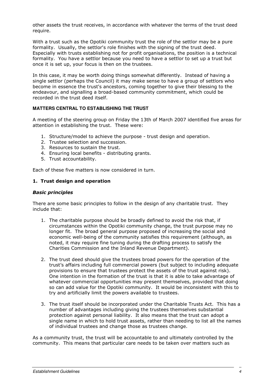other assets the trust receives, in accordance with whatever the terms of the trust deed require.

With a trust such as the Opotiki community trust the role of the settlor may be a pure formality. Usually, the settlor's role finishes with the signing of the trust deed. Especially with trusts establishing not for profit organisations, the position is a technical formality. You have a settlor because you need to have a settlor to set up a trust but once it is set up, your focus is then on the trustees.

In this case, it may be worth doing things somewhat differently. Instead of having a single settlor (perhaps the Council) it may make sense to have a group of settlors who become in essence the trust's ancestors, coming together to give their blessing to the endeavour, and signalling a broad-based community commitment, which could be recorded in the trust deed itself.

# **MATTERS CENTRAL TO ESTABLISHING THE TRUST**

A meeting of the steering group on Friday the 13th of March 2007 identified five areas for attention in establishing the trust. These were:

- 1. Structure/model to achieve the purpose trust design and operation.
- 2. Trustee selection and succession.
- 3. Resources to sustain the trust.
- 4. Ensuring local benefits distributing grants.
- 5. Trust accountability.

Each of these five matters is now considered in turn.

# 1. Trust design and operation

## Basic principles

There are some basic principles to follow in the design of any charitable trust. They include that:

- 1. The charitable purpose should be broadly defined to avoid the risk that, if circumstances within the Opotiki community change, the trust purpose may no longer fit. The broad general purpose proposed of increasing the social and economic well-being of the community satisfies this requirement (although, as noted, it may require fine tuning during the drafting process to satisfy the Charities Commission and the Inland Revenue Department).
- 2. The trust deed should give the trustees broad powers for the operation of the trust's affairs including full commercial powers (but subject to including adequate provisions to ensure that trustees protect the assets of the trust against risk). One intention in the formation of the trust is that it is able to take advantage of whatever commercial opportunities may present themselves, provided that doing so can add value for the Opotiki community. It would be inconsistent with this to try and artificially limit the powers available to trustees.
- 3. The trust itself should be incorporated under the Charitable Trusts Act. This has a number of advantages including giving the trustees themselves substantial protection against personal liability. It also means that the trust can adopt a single name in which to hold trust assets, rather than needing to list all the names of individual trustees and change those as trustees change.

As a community trust, the trust will be accountable to and ultimately controlled by the community. This means that particular care needs to be taken over matters such as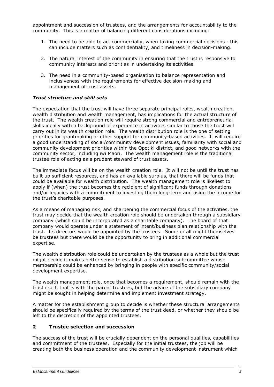appointment and succession of trustees, and the arrangements for accountability to the community. This is a matter of balancing different considerations including:

- 1. The need to be able to act commercially, when taking commercial decisions this can include matters such as confidentiality, and timeliness in decision-making.
- 2. The natural interest of the community in ensuring that the trust is responsive to community interests and priorities in undertaking its activities.
- 3. The need in a community-based organisation to balance representation and inclusiveness with the requirements for effective decision-making and management of trust assets.

# Trust structure and skill sets

The expectation that the trust will have three separate principal roles, wealth creation, wealth distribution and wealth management, has implications for the actual structure of the trust. The wealth creation role will require strong commercial and entrepreneurial skills ideally with a background of experience in activities similar to those the trust will carry out in its wealth creation role. The wealth distribution role is the one of setting priorities for grantmaking or other support for community-based activities. It will require a good understanding of social/community development issues, familiarity with social and community development priorities within the Opotiki district, and good networks with the community sector, including iwi Maori. The wealth management role is the traditional trustee role of acting as a prudent steward of trust assets.

The immediate focus will be on the wealth creation role. It will not be until the trust has built up sufficient resources, and has an available surplus, that there will be funds that could be available for wealth distribution. The wealth management role is likeliest to apply if (when) the trust becomes the recipient of significant funds through donations and/or legacies with a commitment to investing them long-term and using the income for the trust's charitable purposes.

As a means of managing risk, and sharpening the commercial focus of the activities, the trust may decide that the wealth creation role should be undertaken through a subsidiary company (which could be incorporated as a charitable company). The board of that company would operate under a statement of intent/business plan relationship with the trust. Its directors would be appointed by the trustees. Some or all might themselves be trustees but there would be the opportunity to bring in additional commercial expertise.

The wealth distribution role could be undertaken by the trustees as a whole but the trust might decide it makes better sense to establish a distribution subcommittee whose membership could be enhanced by bringing in people with specific community/social development expertise.

The wealth management role, once that becomes a requirement, should remain with the trust itself, that is with the parent trustees, but the advice of the subsidiary company might be sought in helping determine and implement investment strategy.

A matter for the establishment group to decide is whether these structural arrangements should be specifically required by the terms of the trust deed, or whether they should be left to the discretion of the appointed trustees.

## 2 Trustee selection and succession

The success of the trust will be crucially dependent on the personal qualities, capabilities and commitment of the trustees. Especially for the initial trustees, the job will be creating both the business operation and the community development instrument which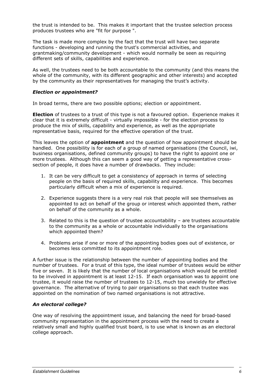the trust is intended to be. This makes it important that the trustee selection process produces trustees who are "fit for purpose ".

The task is made more complex by the fact that the trust will have two separate functions - developing and running the trust's commercial activities, and grantmaking/community development - which would normally be seen as requiring different sets of skills, capabilities and experience.

As well, the trustees need to be both accountable to the community (and this means the whole of the community, with its different geographic and other interests) and accepted by the community as their representatives for managing the trust's activity.

# Election or appointment?

In broad terms, there are two possible options; election or appointment.

**Election** of trustees to a trust of this type is not a favoured option. Experience makes it clear that it is extremely difficult - virtually impossible - for the election process to produce the mix of skills, capability and experience, as well as the appropriate representative basis, required for the effective operation of the trust.

This leaves the option of **appointment** and the question of how appointment should be handled. One possibility is for each of a group of named organisations (the Council, iwi, business organisations, defined community groups) to have the right to appoint one or more trustees. Although this can seem a good way of getting a representative crosssection of people, it does have a number of drawbacks. They include:

- 1. It can be very difficult to get a consistency of approach in terms of selecting people on the basis of required skills, capability and experience. This becomes particularly difficult when a mix of experience is required.
- 2. Experience suggests there is a very real risk that people will see themselves as appointed to act on behalf of the group or interest which appointed them, rather on behalf of the community as a whole.
- 3. Related to this is the question of trustee accountability are trustees accountable to the community as a whole or accountable individually to the organisations which appointed them?
- 4. Problems arise if one or more of the appointing bodies goes out of existence, or becomes less committed to its appointment role.

A further issue is the relationship between the number of appointing bodies and the number of trustees. For a trust of this type, the ideal number of trustees would be either five or seven. It is likely that the number of local organisations which would be entitled to be involved in appointment is at least 12-15. If each organisation was to appoint one trustee, it would raise the number of trustees to 12-15, much too unwieldy for effective governance. The alternative of trying to pair organisations so that each trustee was appointed on the nomination of two named organisations is not attractive.

## An electoral college?

One way of resolving the appointment issue, and balancing the need for broad-based community representation in the appointment process with the need to create a relatively small and highly qualified trust board, is to use what is known as an electoral college approach.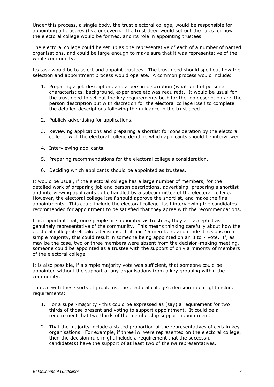Under this process, a single body, the trust electoral college, would be responsible for appointing all trustees (five or seven). The trust deed would set out the rules for how the electoral college would be formed, and its role in appointing trustees.

The electoral college could be set up as one representative of each of a number of named organisations, and could be large enough to make sure that it was representative of the whole community.

Its task would be to select and appoint trustees. The trust deed should spell out how the selection and appointment process would operate. A common process would include:

- 1. Preparing a job description, and a person description (what kind of personal characteristics, background, experience etc was required). It would be usual for the trust deed to set out the key requirements both for the job description and the person description but with discretion for the electoral college itself to complete the detailed descriptions following the guidance in the trust deed.
- 2. Publicly advertising for applications.
- 3. Reviewing applications and preparing a shortlist for consideration by the electoral college, with the electoral college deciding which applicants should be interviewed.
- 4. Interviewing applicants.
- 5. Preparing recommendations for the electoral college's consideration.
- 6. Deciding which applicants should be appointed as trustees.

It would be usual, if the electoral college has a large number of members, for the detailed work of preparing job and person descriptions, advertising, preparing a shortlist and interviewing applicants to be handled by a subcommittee of the electoral college. However, the electoral college itself should approve the shortlist, and make the final appointments. This could include the electoral college itself interviewing the candidates recommended for appointment to be satisfied that they agree with the recommendations.

It is important that, once people are appointed as trustees, they are accepted as genuinely representative of the community. This means thinking carefully about how the electoral college itself takes decisions. If it had 15 members, and made decisions on a simple majority, this could result in someone being appointed on an 8 to 7 vote. If, as may be the case, two or three members were absent from the decision-making meeting, someone could be appointed as a trustee with the support of only a minority of members of the electoral college.

It is also possible, if a simple majority vote was sufficient, that someone could be appointed without the support of any organisations from a key grouping within the community.

To deal with these sorts of problems, the electoral college's decision rule might include requirements:

- 1. For a super-majority this could be expressed as (say) a requirement for two thirds of those present and voting to support appointment. It could be a requirement that two thirds of the membership support appointment.
- 2. That the majority include a stated proportion of the representatives of certain key organisations. For example, if three iwi were represented on the electoral college, then the decision rule might include a requirement that the successful candidate(s) have the support of at least two of the iwi representatives.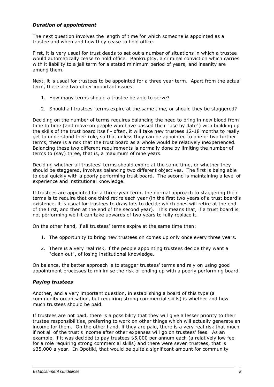# Duration of appointment

The next question involves the length of time for which someone is appointed as a trustee and when and how they cease to hold office.

First, it is very usual for trust deeds to set out a number of situations in which a trustee would automatically cease to hold office. Bankruptcy, a criminal conviction which carries with it liability to a jail term for a stated minimum period of years, and insanity are among them.

Next, it is usual for trustees to be appointed for a three year term. Apart from the actual term, there are two other important issues:

- 1. How many terms should a trustee be able to serve?
- 2. Should all trustees' terms expire at the same time, or should they be staggered?

Deciding on the number of terms requires balancing the need to bring in new blood from time to time (and move on people who have passed their "use by date") with building up the skills of the trust board itself - often, it will take new trustees 12-18 months to really get to understand their role, so that unless they can be appointed to one or two further terms, there is a risk that the trust board as a whole would be relatively inexperienced. Balancing these two different requirements is normally done by limiting the number of terms to (say) three, that is, a maximum of nine years.

Deciding whether all trustees' terms should expire at the same time, or whether they should be staggered, involves balancing two different objectives. The first is being able to deal quickly with a poorly performing trust board. The second is maintaining a level of experience and institutional knowledge.

If trustees are appointed for a three-year term, the normal approach to staggering their terms is to require that one third retire each year (in the first two years of a trust board's existence, it is usual for trustees to draw lots to decide which ones will retire at the end of the first, and then at the end of the second year). This means that, if a trust board is not performing well it can take upwards of two years to fully replace it.

On the other hand, if all trustees' terms expire at the same time then:

- 1. The opportunity to bring new trustees on comes up only once every three years.
- 2. There is a very real risk, if the people appointing trustees decide they want a "clean out", of losing institutional knowledge.

On balance, the better approach is to stagger trustees' terms and rely on using good appointment processes to minimise the risk of ending up with a poorly performing board.

## Paying trustees

Another, and a very important question, in establishing a board of this type (a community organisation, but requiring strong commercial skills) is whether and how much trustees should be paid.

If trustees are not paid, there is a possibility that they will give a lesser priority to their trustee responsibilities, preferring to work on other things which will actually generate an income for them. On the other hand, if they are paid, there is a very real risk that much if not all of the trust's income after other expenses will go on trustees' fees. As an example, if it was decided to pay trustees \$5,000 per annum each (a relatively low fee for a role requiring strong commercial skills) and there were seven trustees, that is \$35,000 a year. In Opotiki, that would be quite a significant amount for community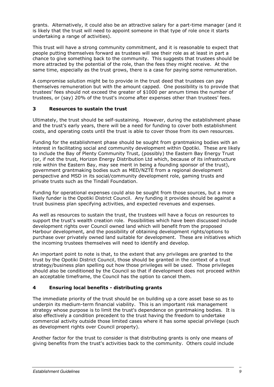grants. Alternatively, it could also be an attractive salary for a part-time manager (and it is likely that the trust will need to appoint someone in that type of role once it starts undertaking a range of activities).

This trust will have a strong community commitment, and it is reasonable to expect that people putting themselves forward as trustees will see their role as at least in part a chance to give something back to the community. This suggests that trustees should be more attracted by the potential of the role, than the fees they might receive. At the same time, especially as the trust grows, there is a case for paying some remuneration.

A compromise solution might be to provide in the trust deed that trustees can pay themselves remuneration but with the amount capped. One possibility is to provide that trustees' fees should not exceed the greater of \$1000 per annum times the number of trustees, or (say) 20% of the trust's income after expenses other than trustees' fees.

# 3 Resources to sustain the trust

Ultimately, the trust should be self-sustaining. However, during the establishment phase and the trust's early years, there will be a need for funding to cover both establishment costs, and operating costs until the trust is able to cover those from its own resources.

Funding for the establishment phase should be sought from grantmaking bodies with an interest in facilitating social and community development within Opotiki. These are likely to include the Bay of Plenty Community Trust, (possibly) the Eastern Bay Energy Trust (or, if not the trust, Horizon Energy Distribution Ltd which, because of its infrastructure role within the Eastern Bay, may see merit in being a founding sponsor of the trust), government grantmaking bodies such as MED/NZTE from a regional development perspective and MSD in its social/community development role, gaming trusts and private trusts such as the Tindall Foundation.

Funding for operational expenses could also be sought from those sources, but a more likely funder is the Opotiki District Council. Any funding it provides should be against a trust business plan specifying activities, and expected revenues and expenses.

As well as resources to sustain the trust, the trustees will have a focus on resources to support the trust's wealth creation role. Possibilities which have been discussed include development rights over Council owned land which will benefit from the proposed Harbour development, and the possibility of obtaining development rights/options to purchase over privately owned land suitable for development. These are initiatives which the incoming trustees themselves will need to identify and develop.

An important point to note is that, to the extent that any privileges are granted to the trust by the Opotiki District Council, those should be granted in the context of a trust strategy/business plan spelling out how those privileges will be used. Those privileges should also be conditioned by the Council so that if development does not proceed within an acceptable timeframe, the Council has the option to cancel them.

# 4 Ensuring local benefits - distributing grants

The immediate priority of the trust should be on building up a core asset base so as to underpin its medium-term financial viability. This is an important risk management strategy whose purpose is to limit the trust's dependence on grantmaking bodies. It is also effectively a condition precedent to the trust having the freedom to undertake commercial activity outside those limited cases where it has some special privilege (such as development rights over Council property).

Another factor for the trust to consider is that distributing grants is only one means of giving benefits from the trust's activities back to the community. Others could include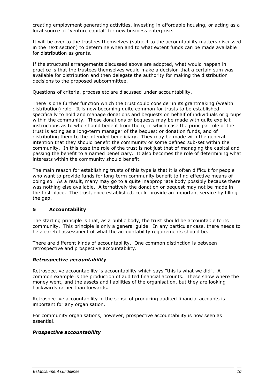creating employment generating activities, investing in affordable housing, or acting as a local source of "venture capital" for new business enterprise.

It will be over to the trustees themselves (subject to the accountability matters discussed in the next section) to determine when and to what extent funds can be made available for distribution as grants.

If the structural arrangements discussed above are adopted, what would happen in practice is that the trustees themselves would make a decision that a certain sum was available for distribution and then delegate the authority for making the distribution decisions to the proposed subcommittee.

Questions of criteria, process etc are discussed under accountability.

There is one further function which the trust could consider in its grantmaking (wealth distribution) role. It is now becoming quite common for trusts to be established specifically to hold and manage donations and bequests on behalf of individuals or groups within the community. Those donations or bequests may be made with quite explicit instructions as to who should benefit from them, in which case the principal role of the trust is acting as a long-term manager of the bequest or donation funds, and of distributing them to the intended beneficiary. They may be made with the general intention that they should benefit the community or some defined sub-set within the community. In this case the role of the trust is not just that of managing the capital and passing the benefit to a named beneficiary. It also becomes the role of determining what interests within the community should benefit.

The main reason for establishing trusts of this type is that it is often difficult for people who want to provide funds for long-term community benefit to find effective means of doing so. As a result, many may go to a quite inappropriate body possibly because there was nothing else available. Alternatively the donation or bequest may not be made in the first place. The trust, once established, could provide an important service by filling the gap.

# 5 Accountability

The starting principle is that, as a public body, the trust should be accountable to its community. This principle is only a general guide. In any particular case, there needs to be a careful assessment of what the accountability requirements should be.

There are different kinds of accountability. One common distinction is between retrospective and prospective accountability.

## Retrospective accountability

Retrospective accountability is accountability which says "this is what we did". A common example is the production of audited financial accounts. These show where the money went, and the assets and liabilities of the organisation, but they are looking backwards rather than forwards.

Retrospective accountability in the sense of producing audited financial accounts is important for any organisation.

For community organisations, however, prospective accountability is now seen as essential.

## Prospective accountability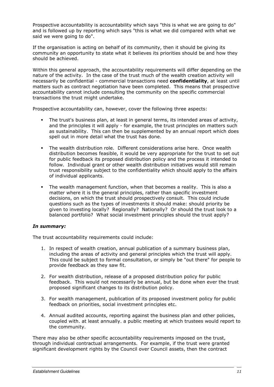Prospective accountability is accountability which says "this is what we are going to do" and is followed up by reporting which says "this is what we did compared with what we said we were going to do".

If the organisation is acting on behalf of its community, then it should be giving its community an opportunity to state what it believes its priorities should be and how they should be achieved.

Within this general approach, the accountability requirements will differ depending on the nature of the activity. In the case of the trust much of the wealth creation activity will necessarily be confidential - commercial transactions need **confidentiality**, at least until matters such as contract negotiation have been completed. This means that prospective accountability cannot include consulting the community on the specific commercial transactions the trust might undertake.

Prospective accountability can, however, cover the following three aspects:

- The trust's business plan, at least in general terms, its intended areas of activity, and the principles it will apply - for example, the trust principles on matters such as sustainability. This can then be supplemented by an annual report which does spell out in more detail what the trust has done.
- The wealth distribution role. Different considerations arise here. Once wealth distribution becomes feasible, it would be very appropriate for the trust to set out for public feedback its proposed distribution policy and the process it intended to follow. Individual grant or other wealth distribution initiatives would still remain trust responsibility subject to the confidentiality which should apply to the affairs of individual applicants.
- The wealth management function, when that becomes a reality. This is also a matter where it is the general principles, rather than specific investment decisions, on which the trust should prospectively consult. This could include questions such as the types of investments it should make: should priority be given to investing locally? Regionally? Nationally? Or should the trust look to a balanced portfolio? What social investment principles should the trust apply?

# In summary:

The trust accountability requirements could include:

- 1. In respect of wealth creation, annual publication of a summary business plan, including the areas of activity and general principles which the trust will apply. This could be subject to formal consultation, or simply be "out there" for people to provide feedback as they saw fit.
- 2. For wealth distribution, release of a proposed distribution policy for public feedback. This would not necessarily be annual, but be done when ever the trust proposed significant changes to its distribution policy.
- 3. For wealth management, publication of its proposed investment policy for public feedback on priorities, social investment principles etc.
- 4. Annual audited accounts, reporting against the business plan and other policies, coupled with. at least annually. a public meeting at which trustees would report to the community.

There may also be other specific accountability requirements imposed on the trust, through individual contractual arrangements. For example, if the trust were granted significant development rights by the Council over Council assets, then the contract